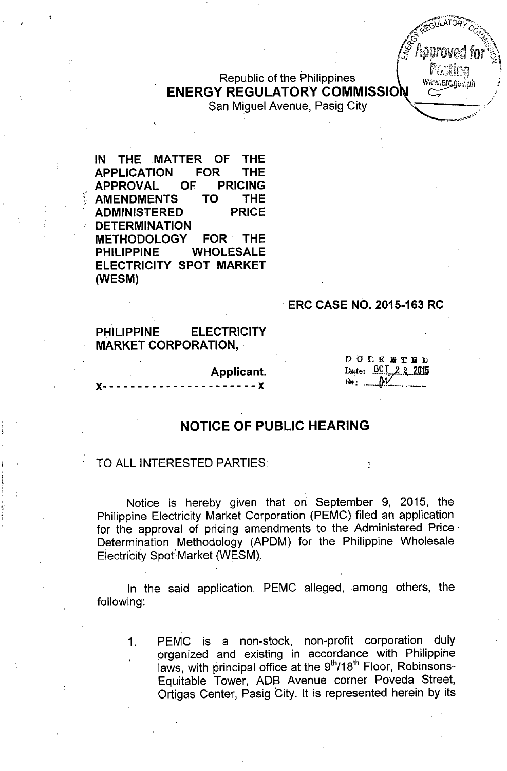Republic of the Philippines ENERGY REGULATORY COMMISSIO

San Miguel Avenue, Pasig City

IN THE MATTER OF THE APPLICATION FOR THE APPROVAL OF PRICING AMENDMENTS TO THE ADMINISTERED PRICE **DETERMINATION** METHODOLOGY FOR. THE PHILIPPINE WHOLESALE ELECTRICITY SPOT MARKET (WESM)

#### . ERC CASE NO. 2015-163 RC

PHILIPPINE ELECTRICITY MARKET CORPORATION, .

Applicant.

 $- - - x$ 

**DOCKETER** Date: 0CT 2 2 2015  $B_{\mathcal{W}}$   $\mathcal{W}$ 

,pc

.<br>میمند<del>ی به جهید انت</del>

www.erc.gov.ph

#### NOTICE OF PUBLIC HEARING

#### TO ALL INTERESTED PARTIES:

Notice is hereby given that on September 9, 2015, the Philippine Electricity Market Corporation (PEMC) filed an application for the approval of pricing amendments to the Administered Price. Determination Methodology (APDM) for the Philippine Wholesale Electricity Spot Market (WESM).

In the said application, PEMC alleged, among others, the following:

1. PEMC is a non-stock, non-profit corporation duly organized and existing in accordance with Philippine laws, with principal office at the 9<sup>th</sup>/18<sup>th</sup> Floor, Robinsons Equitable Tower, ADS Avenue corner Poveda Street, Ortigas Center, Pasig City. It is represented herein by its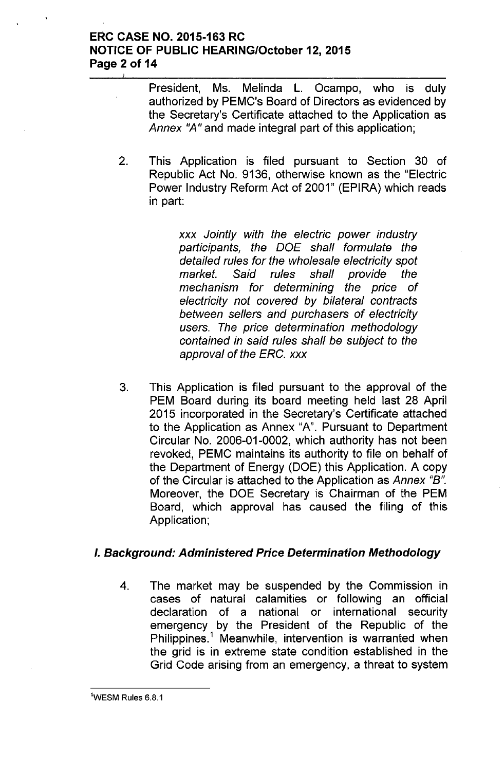### **ERC CASE NO. 2015-163 RC NOTICE OF PUBLIC HEARINGIOctober 12, 2015 Page 2 of 14**

President, Ms. Melinda L. Ocampo, who is duly authorized by PEMC's Board of Directors as evidenced by the Secretary's Certificate attached to the Application as Annex "A" and made integral part of this application;

2. This Application is filed pursuant to Section 30 of Republic Act No. 9136, otherwise known as the "Electric Power Industry Reform Act of 2001" (EPIRA) which reads in part:

> *xxx Jointly with the electric power industry participants, the DOE shall formulate the detailed rules for the wholesale electricity spot market. Said rules shall provide the mechanism for determining the price of electricity not covered by bilateral contracts between sellers and purchasers of electricity users. The price determination methodology contained in said rules shall be subject to the approval of the ERC. xxx*

3. This Application is filed pursuant to the approval of the PEM Board during its board meeting held last 28 April 2015 incorporated in the Secretary's Certificate attached to the Application as Annex "A". Pursuant to Department Circular No. 2006-01-0002, which authority has not been revoked, PEMC maintains its authority to file on behalf of the Department of Energy (DOE) this Application. A copy of the Circular is attached to the Application as *Annex "B".* Moreover, the DOE Secretary is Chairman of the PEM Board, which approval has caused the filing of this Application;

#### *I. Background: Administered Price Determination Methodology*

4. The market may be suspended by the Commission in cases of natural calamities or following an official declaration of a national or international security emergency by the President of the Republic of the Philippines.<sup>1</sup> Meanwhile, intervention is warranted when the grid is in extreme state condition established in the Grid Code arising from an emergency, a threat to system

 $1$ WESM Rules 6.8.1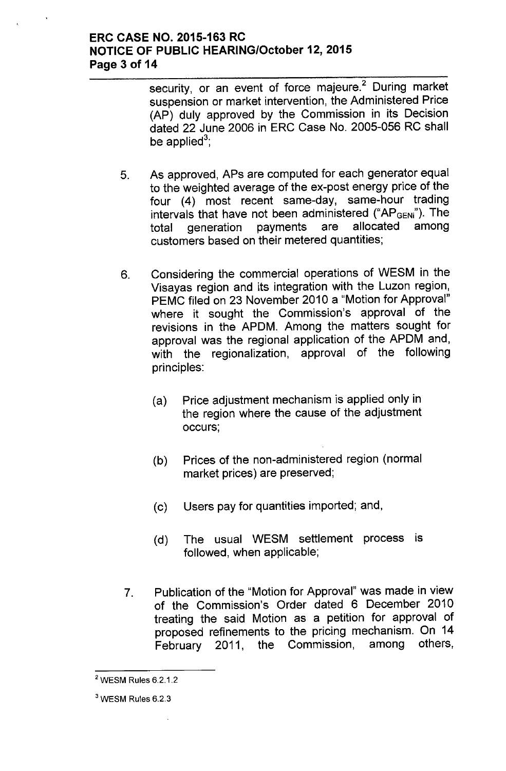#### **ERC CASE NO. 2015-163 RC NOTICE OF PUBLIC HEARING/October 12, 2015 Page 3 of 14**

security, or an event of force majeure.<sup>2</sup> During market suspension or market intervention, the Administered Price (AP) duly approved by the Commission in its Decision dated 22 June 2006 in ERC Case No. 2005-056 RC shall be applied $^3$ 

- 5. As approved, APs are computed for each generator equal to the weighted average of the ex-post energy price of the four (4) most recent same-day, same-hour trading intervals that have not been administered ("AP<sub>GENi</sub>"). The total generation payments are allocated among customers based on their metered quantities;
- 6. Considering the commercial operations of WESM in the Visayas region and its integration with the Luzon region, PEMC filed on 23 November 2010 a "Motion for Approval" where it sought the Commission's approval of the revisions in the APDM. Among the matters sought for approval was the regional application of the APDM and, with the regionalization, approval of the following principles:
	- (a) Price adjustment mechanism is applied only in the region where the cause of the adjustment occurs;
	- (b) Prices of the non-administered region (normal market prices) are preserved;
	- (c) Users pay for quantities imported; and,
	- (d) The usual WESM settlement process is followed, when applicable;
- 7. Publication of the "Motion for Approval" was made in view of the Commission's Order dated 6 December 2010 treating the said Motion as a petition for approval of proposed refinements to the pricing mechanism. On 14 February 2011, the Commission, among others,

<sup>2</sup> WESM Rules 6.2.1.2

<sup>3</sup> WESM Rules 6.2.3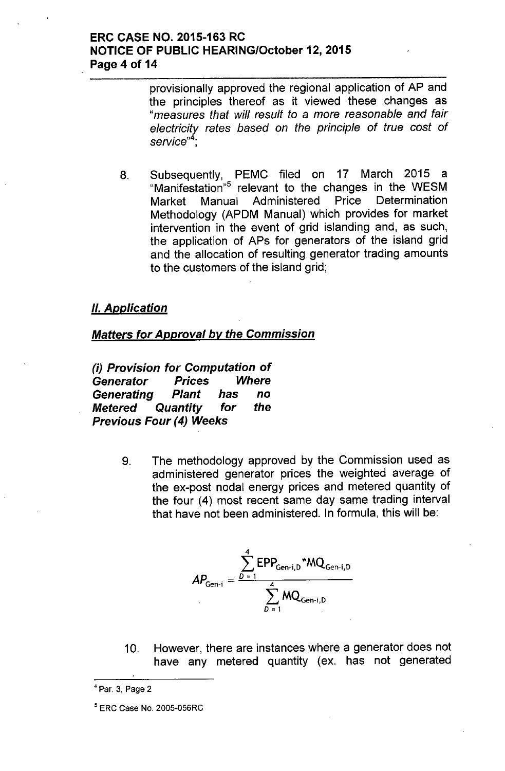### ERC CASE NO. 2015-163 RC NOTICE OF PUBLIC HEARING/October 12, 2015 Page 4 of 14

provisionally approved the regional application of AP and the principles thereof as it viewed these changes as *"measures that will result to* a *more reasonable and fair electricitv rates based on the principle* of *true cost* of service"<sup>4</sup>

8. Subsequently, PEMC filed on 17 March 2015 a "Manifestation"<sup>5</sup> relevant to the changes in the WESM Market Manual Administered Price Determination Methodology (APDM Manual) which provides for market intervention in the event of grid islanding and, as such, the application of APs for generators of the island grid and the allocation of resulting generator trading amounts to the customers of the island grid;

### *II. Application*

#### *Matters for Approval by the Commission*

*(i) Provision for Computation* of *Generator Prices Where Generating Plant has* no *Metered Quantity for the Previous Four* (4) *Weeks*

> 9. The methodology approved by the Commission used as administered generator prices the weighted average of the ex-post nodal energy prices and metered quantity of the four (4) most recent same day same trading interval that have not been administered. In formula, this will be:

$$
AP_{Gen-i} = \frac{\sum_{D=1}^{4} EPP_{Gen-i,D}}{\sum_{D=1}^{4} MQ_{Gen-i,D}}
$$

10. However, there are instances where a generator does not have any metered quantity (ex. has not generated

<sup>4</sup> Par. 3, Page 2

<sup>5</sup> ERC Case No. 2005-056RC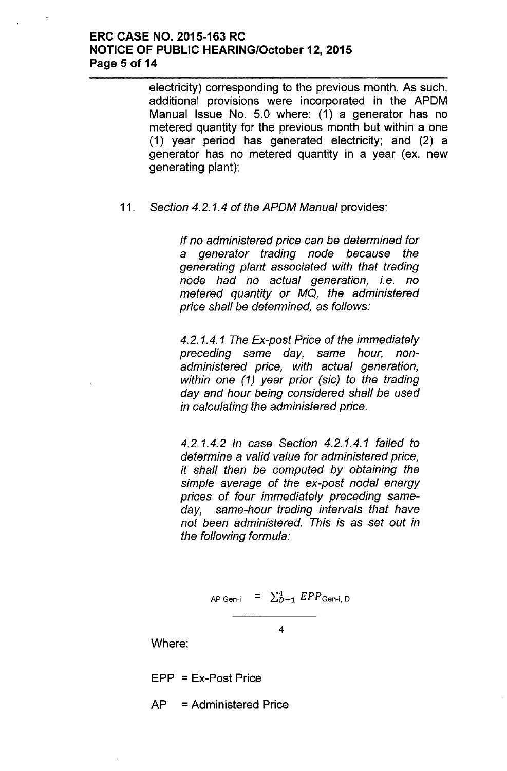### ERC CASE NO. 2015-163 RC NOTICE OF PUBLIC HEARING/October 12, 2015 Page 5 of 14

electricity) corresponding to the previous month. As such, additional provisions were incorporated in the APDM Manual Issue No. 5.0 where: (1) a generator has no metered quantity for the previous month but within a one (1) year period has generated electricity; and (2) a generator has no metered quantity in a year (ex. new generating plant);

#### *11. Section* 4.2.1.4 of *the APDM Manual* provides:

*If no administered price can be determined for* a *generator trading node because the generating plant associated with that trading node had no actual generation, i.e. no metered quantity or* MO, *the administered price shall be determined,* as *follows:*

*4.2.1.4.1 The Ex-post Price* of *the immediately preceding* same *day,* same *hour, nonadministered price, with actual generation, within one* (1) *year prior (sic) to the trading day and hour being considered shall be used in calculating the administered price.*

*4.2.1.4.2 In case Section* 4.2.1.4.1 *failed to determine* a *valid value for administered price, it shall then be computed by obtaining the simple average* of *the ex-post nodal energy prices* of *four immediately preceding sameday, same-hour trading intervals that have not been administered. This is* as *set out in the following formula:*

AP Gen-i = 
$$
\sum_{D=1}^{4} EPP_{\text{Gen-i, D}}
$$

4

Where:

 $EPP = Ex-Post Price$ 

AP = Administered Price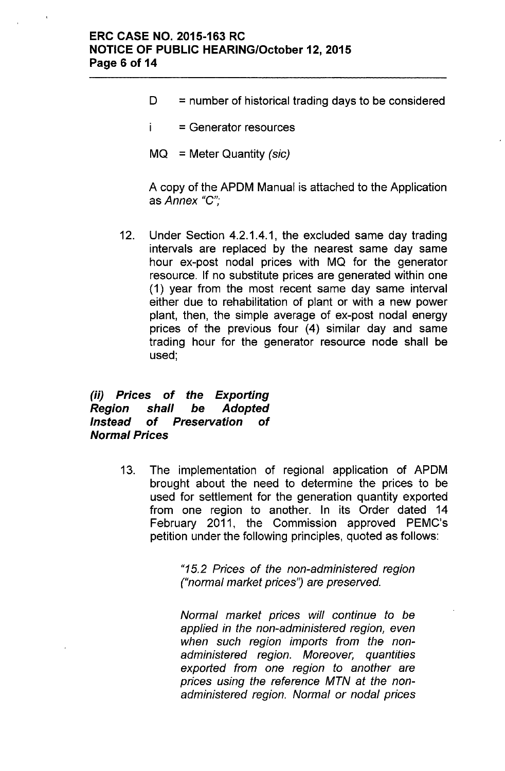- $D =$  number of historical trading days to be considered
- i. = Generator resources
- MQ = Meter Quantity *(sic)*

A copy of the APDM Manual is attached to the Application as Annex "C";

12. Under Section 4.2.1.4.1, the excluded same day trading intervals are replaced by the nearest same day same hour ex-post nodal prices with MQ for the generator resource. If no substitute prices are generated within one (1) year from the most recent same day same interval either due to rehabilitation of plant or with a new power plant, then, the simple average of ex-post nodal energy prices of the previous four (4) similar day and same trading hour for the generator resource node shall be used;

### *(ii) Prices* of *the Exporting Region shall be Adopted Instead* of *Preservation* of *Normal Prices*

13. The implementation of regional application of APDM brought about the need to determine the prices to be used for settlement for the generation quantity exported from one region to another. In its Order dated 14 February 2011, the Commission approved PEMC's petition under the following principles, quoted as follows:

> *"15.2 Prices* of *the non-administered region ("normal market prices'? are preserved.*

> *Normal market prices will continue to be applied in the non-administered region, even when such region imports from the nonadministered region. Moreover, quantities exported from one region to another are prices using the reference MTN at the nonadministered region. Normal or nodal prices*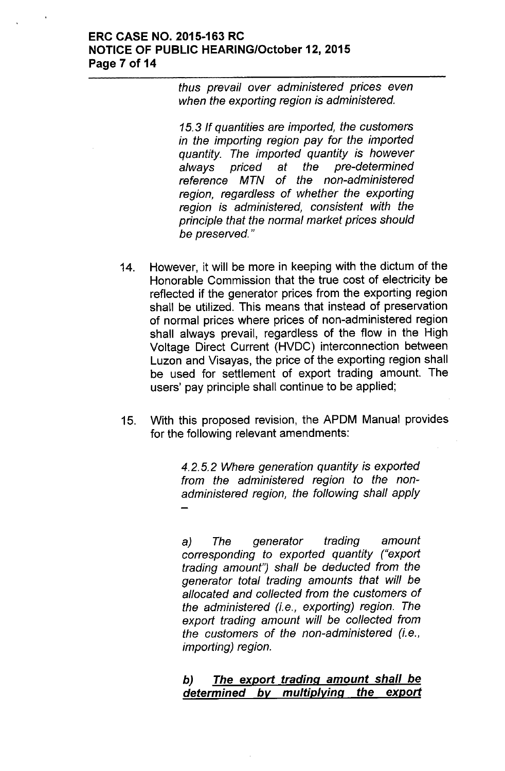#### ERC CASE NO. 2015-163 RC **NOTICE OF PUBLIC HEARING/October 12, 2015** Page 7 of 14

*thus prevail over administered prices even when the exporting region is administered.*

*15.3 If quantities are imported, the customers in the importing region pay for the imported quantity. The imported quantity is however always priced at the pre-determined reference MTN* of *the non-administered region, regardless* of *whether the exporting region is administered, consistent with the principle that the normal market prices should be preserved. "*

- 14. However, it will be more in keeping with the dictum of the Honorable Commission that the true cost of electricity be reflected if the generator prices from the exporting region shall be utilized. This means that instead of preservation of normal prices where prices of non-administered region shall always prevail, regardless of the flow in the High Voltage Direct Current (HVDC) interconnection between Luzon and Visayas, the price of the exporting region shall be used for settlement of export trading amount. The users' pay principle shall continue to be applied;
- 15. With this proposed revision, the APDM Manual provides for the following relevant amendments:

*4.2.5.2 Where generation quantity is exported from the administered region to the nonadministered region, the following shall apply*

a) *The generator trading amount corresponding to exported quantity ("export trading amount') shall be deducted from the generator total trading amounts that will be allocated and collected from the customers* of *the administered (i.e., exporting) region. The export trading amount will be collected from the customers* of *the non-administered (i.e., importing) region.*

### *b) The export trading amount shall be determined by multiplying the export*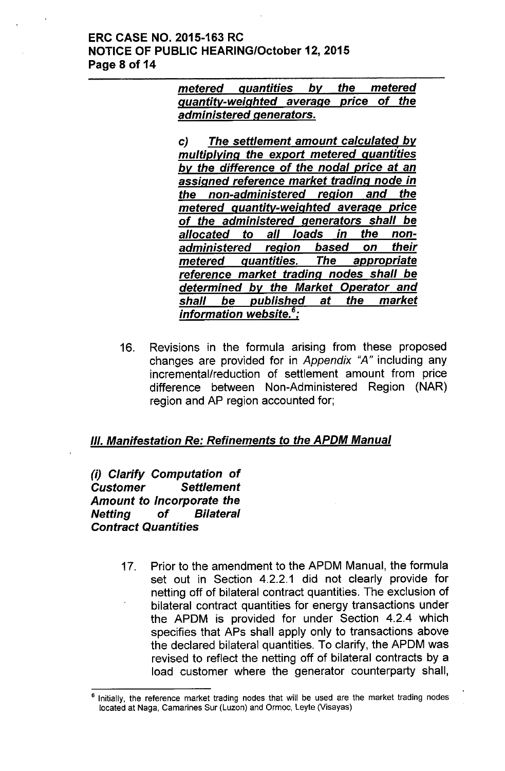### ERC CASE NO. 2015-163 RC **NOTICE OF PUBLIC HEARING/October 12, 2015** Page 8 of 14

*metered quantities by quantity-weighted average price* of *the administered generators. the metered*

c) *The settlement amount calculated by multiplying the export metered quantities by the difference* of *the nodal price* at *an assigned reference market trading node in the non-administered region and the metered quantity-weighted average price* of *the administered generators shall be allocated* to *all loads in the nonadministered region based on their metered quantities. The appropriate reference market trading nodes shall be determined by the Market Operator and shall be published* at *the market information website.* <sup>6</sup> :

16. Revisions in the formula arising from these proposed changes are provided for in *Appendix* "A" including any incrementallreduction of settlement amount from price difference between Non-Administered Region (NAR) region and AP region accounted for;

# *III. Manifestation Re: Refinements* to *the APDM Manual*

*(i) Clarify Computation* of *Customer Settlement Amount* to *Incorporate the Netting* of *Bilateral Contract Quantities*

> 17. Prior to the amendment to the APDM Manual, the formula set out in Section 4.2.2.1 did not clearly provide for netting off of bilateral contract quantities. The exclusion of bilateral contract quantities for energy transactions under the APDM is provided for under Section 4.2.4 which specifies that APs shall apply only to transactions above the declared bilateral quantities. To clarify, the APDM was revised to reflect the netting off of bilateral contracts by a load customer where the generator counterparty shall,

Initially, the reference market trading nodes that will be used are the market trading nodes located at Naga, Camarines Sur (Luzon) and Ormoc, Leyte (Visayas)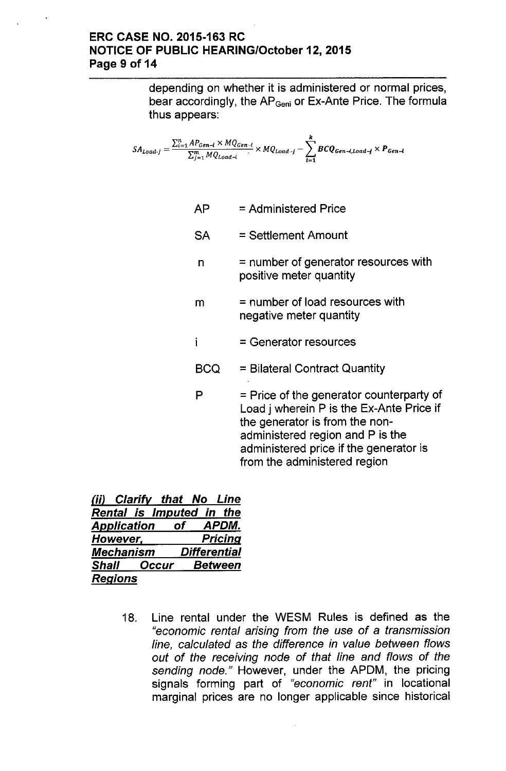### ERC CASE NO. 2015-163 RC NOTICE OF PUBLIC HEARINGIOctober 12, 2015 Page 9 of 14

depending on whether it is administered or normal prices, bear accordingly, the AP<sub>Geni</sub> or Ex-Ante Price. The formula thus appears:

$$
SA_{Load-j} = \frac{\sum_{i=1}^{n} AP_{Gen-i} \times MQ_{Gen-i}}{\sum_{j=1}^{m} MQ_{Load-i}} \times MQ_{Load-j} - \sum_{i=1}^{k} BCQ_{Gen-i, Load-j} \times P_{Gen-i}
$$

- $AP =$  Administered Price
- SA = Settlement Amount
- $n = number of generator resources with$ positive meter quantity
- $m =$  number of load resources with negative meter quantity
- $\mathbf{i}$ = Generator resources
- BCQ = Bilateral Contract Quantity
- $P =$  Price of the generator counterparty of Load j wherein P is the Ex-Ante Price if the generator is from the nonadministered region and P is the administered price if the generator is from the administered region

| (ii) Clarify that No Line  |                     |
|----------------------------|---------------------|
| Rental is Imputed in the   |                     |
| <b>Application</b> of      | APDM.               |
| However,                   | <b>Pricing</b>      |
| <b>Mechanism</b>           | <b>Differential</b> |
| <b>Shall Occur Between</b> |                     |
| <b>Regions</b>             |                     |

18. Line rental under the WESM Rules is defined as the *"economic rental arising from the use* of a *transmission line, calculated* as *the difference in value between flows out* of *the receiving node* of *that line and flows* of *the sending node."* However, under the APDM, the pricing signals forming part of *"economic rent"* in locational marginal prices are no longer applicable since historical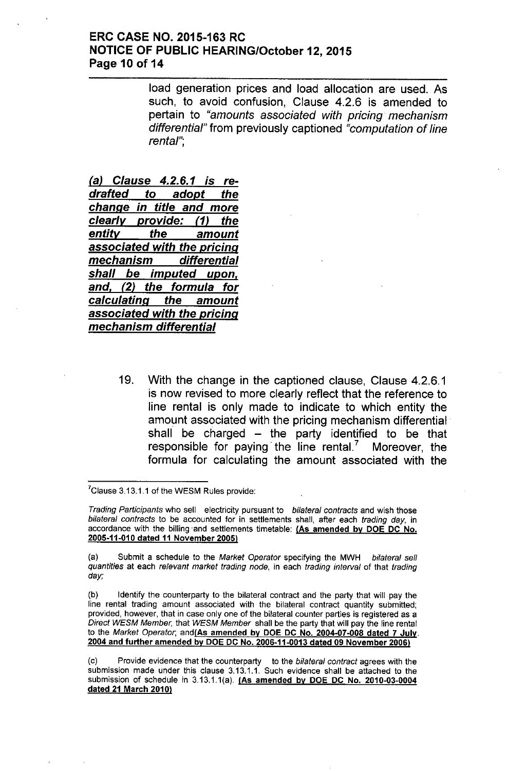#### ERC CASE NO. 2015-163 RC **NOTICE OF PUBLIC HEARING/October 12, 2015** Page 10 of 14

load generation prices and load allocation are used. As such, to avoid confusion, Clause 4.2.6 is amended to pertain to *"amounts associated with pricing mechanism differential"* from previously captioned *"computation* of *line rental'"*,

*(a) Clause* 4.2.6.1 *is redrafted* to *adopt the change in title and more clearly provide:* (1) *the entitv the amount associated with the pricing mechanism differential shall be imputed upon, and,* (2) *the formula for calculating the amount associated with the pricing mechanism differential*

> 19. With the change in the captioned clause, Clause 4.2.6.1 is now revised to more clearly reflect that the reference to line rental is only made to indicate to which entity the amount associated with the pricing mechanism differential' shall be charged  $-$  the party identified to be that responsible for paying' the line rental.? Moreover, the formula for calculating the amount associated with the

 $7$ Clause 3.13.1.1 of the WESM Rules provide:

*Trading Participants* who sell electricity pursuant to *bilateral contracts* and wish those *bilateral contracts* to be accounted for in settlements shall, after each *trading day,* in accordance with the billing'and settlements timetable: (As amended by DOE DC No. 2005-11-010 dated 11 November 2005l

(a) Submit a schedule to the *Market Operator* specifying the MWH *bilateral sell quantities* at each *relevant market trading node,* in each *trading interval* of that *trading day;*

(b) Identify the counterparty to the bilateral contract and the party that will pay the line rental trading amount associated with the bilateral contract quantity submitted; provided, however, that in case only one of the bilateral counter parties is registered as a *Direct WESM Member,* that *WESM Member* shall be the party that will pay the iine rental to the *Market Operator,* and(As amended by DOE DC No. 2004-07-008 dated 7 July. 2004 and further amended by DOE DC No. 2006-11-0013 dated 09 November 2006)

(c) Provide evidence that the counterparty to the *bilateral contract* agrees with the submission made under this clause 3.13.1.1. Such evidence shall be attached to the submission of schedule in 3.13.1.1(a). (As amended by DOE DC No. 2010-03-0004 dated 21 March 2010)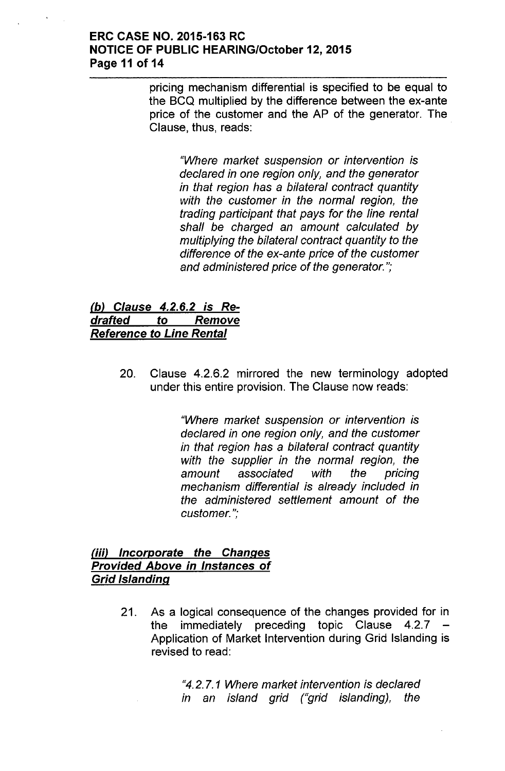### ERC CASE NO. 2015-163 RC **NOTICE OF PUBLIC HEARING/October 12, 2015** Page 11 of 14

pricing mechanism differential is specified to be equal to the SCQ multiplied by the difference between the ex-ante price of the customer and the AP of the generator. The Clause, thus, reads:

> *"Where market suspension or intervention is declared in one region only, and the generator in that region has* a *bilateral contract quantity with the customer in the normal region, the trading participant that pays for the line rental shall be charged an amount calculated by multiplying the bilateral contract quantity to the difference* of *the ex-ante price* of *the customer and administered price* of *the generator.";*

## *(b) Clause* 4.2.6.2 *is Redrafted* to *Remove Reference* to *Line Rental*

20. Clause 4.2.6.2 mirrored the new terminology adopted under this entire provision. The Clause now reads:

> *"Where market suspension or intervention is declared in one region only, and the customer in that region has* a *bilateral contract quantity with the supplier in the normal region, the amount associated with the pricing mechanism differential is already included in the administered settlement amount* of *the customer.";*

### *(iii) Incorporate the Changes Provided Above in Instances* of *Grid Islanding*

21. As a logical consequence of the changes provided for in the immediately preceding topic Clause 4.2.7 Application of Market Intervention during Grid Islanding is revised to read:

> "4.2.7. 1 *Where market intervention is declared in an island grid ("grid islanding), the*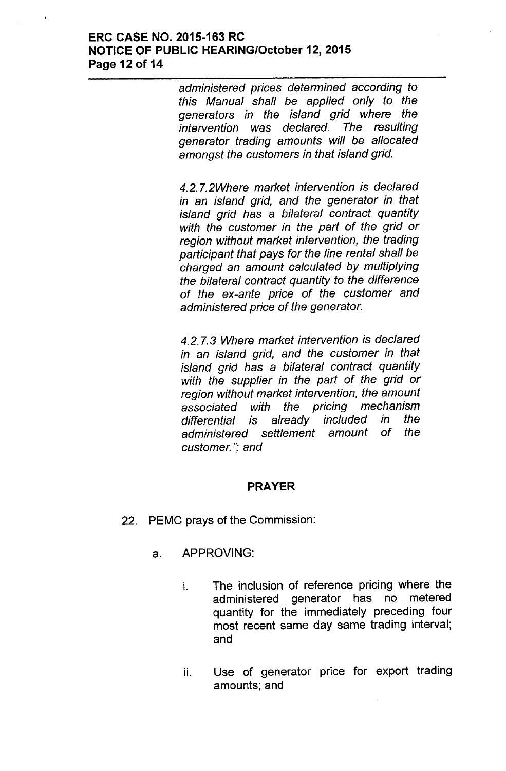### **ERC CASE NO. 2015-163 RC NOTICE OF PUBLIC HEARING/October 12,2015 Page 12 of 14**

*administered prices determined according to this Manual shall be applied only to the generators in the island grid where the intervention was declared. The resulting generator trading amounts will be allocated amongst the customers in that island grid.*

*4.2.7.2Where market intervention is declared in an island grid, and the generator in that island grid has* a *bilateral contract quantity with the customer in the part* of *the grid or region without market intervention, the trading participant that pays for the line rental shall be charged an amount calculated by multiplying the bilateral contract quantity to the difference* of *the ex-ante price* of *the customer and administered price* of *the generator.*

*4.2.7.3 Where market intervention is declared in an island grid, and the customer in that island grid has* a *bilateral contract quantity with the supplier in the part* of *the grid or region without market intervention, the amount associated with the pricing mechanism differential is already included in the administered settlement amount* of *the customer."; and*

## **PRAYER**

- 22. PEMC prays of the Commission:
	- a. APPROVING:
		- i. The inclusion of reference pricing where the administered generator has no metered quantity for the immediately preceding four most recent same day same trading interval; and
		- ii. Use of generator price for export trading amounts; and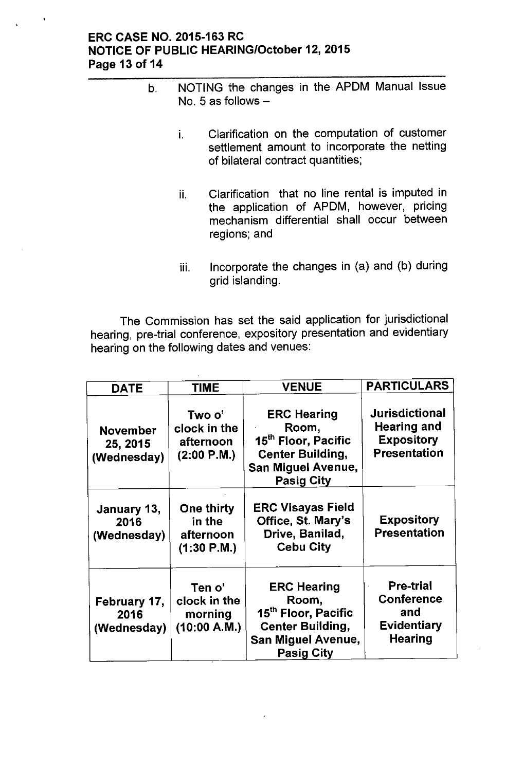### ERC CASE NO. 2015-163 RC NOTICE OF PUBLIC HEARING/October 12, 2015 Page 13 of 14

- b. NOTING the changes in the APDM Manual Issue No. 5 as follows  $$ 
	- i. Clarification on the computation of customer settlement amount to incorporate the netting of bilateral contract quantities;
	- ii. Clarification that no line rental is imputed in the application of APDM, however, pricing mechanism differential shall occur between regions; and
	- iii. Incorporate the changes in (a) and (b) during grid islanding.

The Commission has set the said application for jurisdictional hearing, pre-trial conference, expository presentation and evidentiary hearing on the following dates and venues:

| <b>DATE</b>                                | <b>TIME</b>                                             | <b>VENUE</b>                                                                                                                                | <b>PARTICULARS</b>                                                                      |
|--------------------------------------------|---------------------------------------------------------|---------------------------------------------------------------------------------------------------------------------------------------------|-----------------------------------------------------------------------------------------|
| <b>November</b><br>25, 2015<br>(Wednesday) | Two o'<br>clock in the<br>afternoon<br>(2:00 P.M.)      | <b>ERC Hearing</b><br>Room,<br>15 <sup>th</sup> Floor, Pacific<br><b>Center Building,</b><br><b>San Miguel Avenue,</b><br><b>Pasig City</b> | <b>Jurisdictional</b><br><b>Hearing and</b><br><b>Expository</b><br><b>Presentation</b> |
| January 13,<br>2016<br>(Wednesday)         | <b>One thirty</b><br>in the<br>afternoon<br>(1:30 P.M.) | <b>ERC Visayas Field</b><br>Office, St. Mary's<br>Drive, Banilad,<br><b>Cebu City</b>                                                       | <b>Expository</b><br><b>Presentation</b>                                                |
| February 17,<br>2016<br>(Wednesday)        | Ten o'<br>clock in the<br>morning<br>(10:00 A.M.)       | <b>ERC Hearing</b><br>Room,<br>15 <sup>th</sup> Floor, Pacific<br><b>Center Building,</b><br><b>San Miguel Avenue,</b><br><b>Pasig City</b> | <b>Pre-trial</b><br><b>Conference</b><br>and<br><b>Evidentiary</b><br>Hearing           |